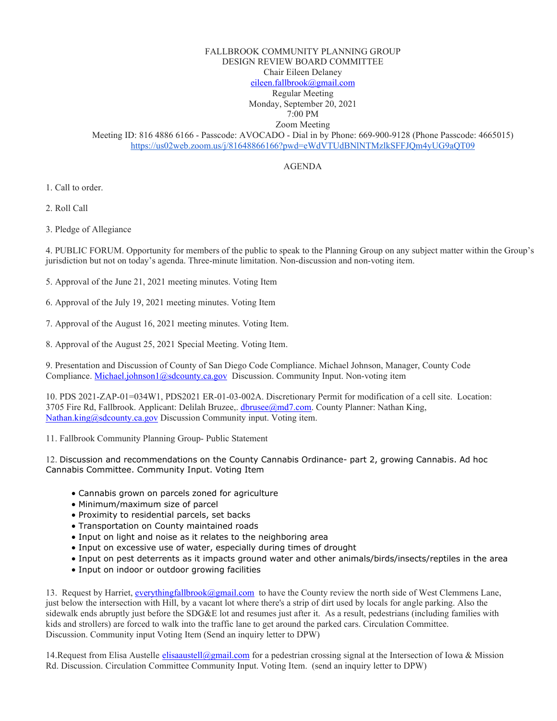# FALLBROOK COMMUNITY PLANNING GROUP DESIGN REVIEW BOARD COMMITTEE Chair Eileen Delaney [eileen.fallbrook@gmail.com](mailto:eileen.fallbrook@gmail.com) Regular Meeting Monday, September 20, 2021 7:00 PM Zoom Meeting Meeting ID: 816 4886 6166 - Passcode: AVOCADO - Dial in by Phone: 669-900-9128 (Phone Passcode: 4665015) <https://us02web.zoom.us/j/81648866166?pwd=eWdVTUdBNlNTMzlkSFFJQm4yUG9aQT09>

# AGENDA

1. Call to order.

2. Roll Call

3. Pledge of Allegiance

4. PUBLIC FORUM. Opportunity for members of the public to speak to the Planning Group on any subject matter within the Group's jurisdiction but not on today's agenda. Three-minute limitation. Non-discussion and non-voting item.

5. Approval of the June 21, 2021 meeting minutes. Voting Item

- 6. Approval of the July 19, 2021 meeting minutes. Voting Item
- 7. Approval of the August 16, 2021 meeting minutes. Voting Item.

8. Approval of the August 25, 2021 Special Meeting. Voting Item.

9. Presentation and Discussion of County of San Diego Code Compliance. Michael Johnson, Manager, County Code Compliance[. Michael.johnson1@sdcounty.ca.gov](mailto:Michael.johnson1@sdcounty.ca.gov) Discussion. Community Input. Non-voting item

10. PDS 2021-ZAP-01=034W1, PDS2021 ER-01-03-002A. Discretionary Permit for modification of a cell site. Location: 3705 Fire Rd, Fallbrook. Applicant: Delilah Bruzee,[. dbrusee@md7.com.](mailto:dbrusee@md7.com) County Planner: Nathan King, [Nathan.king@sdcounty.ca.gov](mailto:Nathan.king@sdcounty.ca.gov) Discussion Community input. Voting item.

11. Fallbrook Community Planning Group- Public Statement

12. Discussion and recommendations on the County Cannabis Ordinance- part 2, growing Cannabis. Ad hoc Cannabis Committee. Community Input. Voting Item

- Cannabis grown on parcels zoned for agriculture
- Minimum/maximum size of parcel
- Proximity to residential parcels, set backs
- Transportation on County maintained roads
- Input on light and noise as it relates to the neighboring area
- Input on excessive use of water, especially during times of drought
- Input on pest deterrents as it impacts ground water and other animals/birds/insects/reptiles in the area
- Input on indoor or outdoor growing facilities

13. Request by Harriet[, everythingfallbrook@gmail.com](mailto:everythingfallbrook@gmail.com) to have the County review the north side of West Clemmens Lane, just below the intersection with Hill, by a vacant lot where there's a strip of dirt used by locals for angle parking. Also the sidewalk ends abruptly just before the SDG&E lot and resumes just after it. As a result, pedestrians (including families with kids and strollers) are forced to walk into the traffic lane to get around the parked cars. Circulation Committee. Discussion. Community input Voting Item (Send an inquiry letter to DPW)

14. Request from Elisa Austelle [elisaaustell@gmail.com](mailto:elisaaustell@gmail.com) for a pedestrian crossing signal at the Intersection of Iowa & Mission Rd. Discussion. Circulation Committee Community Input. Voting Item. (send an inquiry letter to DPW)